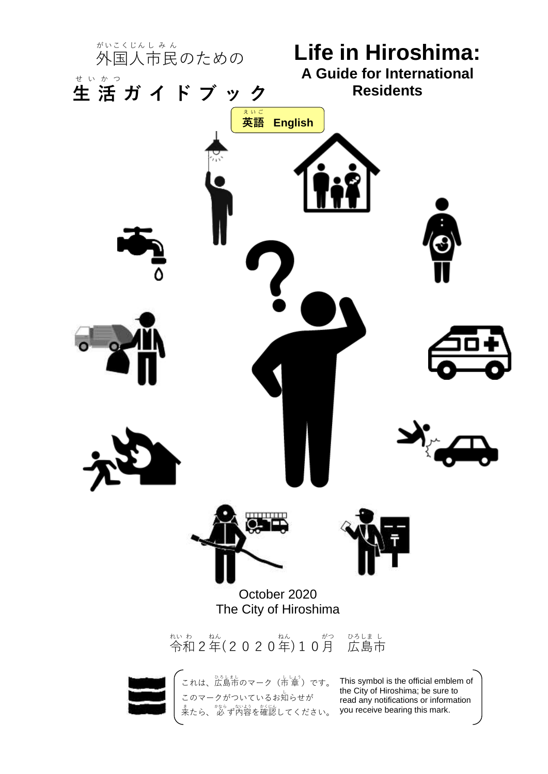